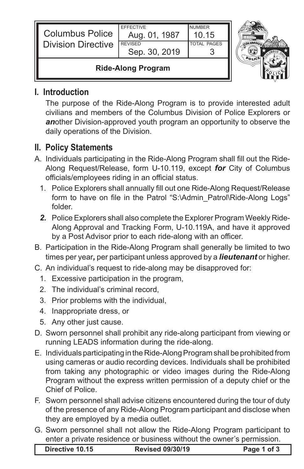| <b>Columbus Police</b><br><b>Division Directive</b> | <b>EFFECTIVE</b><br>Aug. 01, 1987<br><b>REVISED</b> | <b>NUMBER</b><br>10.15<br><b>TOTAL PAGES</b> |  |
|-----------------------------------------------------|-----------------------------------------------------|----------------------------------------------|--|
|                                                     | Sep. 30, 2019                                       |                                              |  |
| <b>Ride-Along Program</b>                           |                                                     |                                              |  |

## **I. Introduction**

The purpose of the Ride-Along Program is to provide interested adult civilians and members of the Columbus Division of Police Explorers or *an*other Division-approved youth program an opportunity to observe the daily operations of the Division.

## **II. Policy Statements**

- A. Individuals participating in the Ride-Along Program shall fill out the Ride-Along Request/Release, form U-10.119, except *for* City of Columbus officials/employees riding in an official status.
	- 1. Police Explorers shall annually fill out one Ride-Along Request/Release form to have on file in the Patrol "S:\Admin\_Patrol\Ride-Along Logs" folder.
	- *2.* Police Explorers shall also complete the Explorer Program Weekly Ride-Along Approval and Tracking Form, U-10.119A, and have it approved by a Post Advisor prior to each ride-along with an officer.
- B. Participation in the Ride-Along Program shall generally be limited to two times per year*,* per participant unless approved by a *lieutenant* or higher.
- C. An individual's request to ride-along may be disapproved for:
	- 1. Excessive participation in the program,
	- 2. The individual's criminal record,
	- 3. Prior problems with the individual,
	- 4. Inappropriate dress, or
	- 5. Any other just cause.
- D. Sworn personnel shall prohibit any ride-along participant from viewing or running LEADS information during the ride-along.
- E. Individuals participating in the Ride-Along Program shall be prohibited from using cameras or audio recording devices. Individuals shall be prohibited from taking any photographic or video images during the Ride-Along Program without the express written permission of a deputy chief or the Chief of Police.
- F. Sworn personnel shall advise citizens encountered during the tour of duty of the presence of any Ride-Along Program participant and disclose when they are employed by a media outlet.
- G. Sworn personnel shall not allow the Ride-Along Program participant to enter a private residence or business without the owner's permission.

| Directive 10.15 | <b>Revised 09/30/19</b> | Page 1 of 3 |
|-----------------|-------------------------|-------------|
|-----------------|-------------------------|-------------|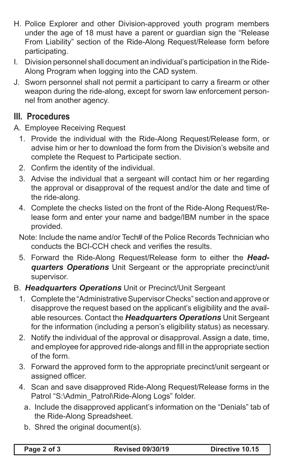- H. Police Explorer and other Division-approved youth program members under the age of 18 must have a parent or guardian sign the "Release From Liability" section of the Ride-Along Request/Release form before participating.
- I. Division personnel shall document an individual's participation in the Ride-Along Program when logging into the CAD system.
- J. Sworn personnel shall not permit a participant to carry a firearm or other weapon during the ride-along, except for sworn law enforcement personnel from another agency.

## **III. Procedures**

A. Employee Receiving Request

- 1. Provide the individual with the Ride-Along Request/Release form, or advise him or her to download the form from the Division's website and complete the Request to Participate section.
- 2. Confirm the identity of the individual.
- 3. Advise the individual that a sergeant will contact him or her regarding the approval or disapproval of the request and/or the date and time of the ride-along.
- 4. Complete the checks listed on the front of the Ride-Along Request/Release form and enter your name and badge/IBM number in the space provided.

Note: Include the name and/or Tech# of the Police Records Technician who conducts the BCI-CCH check and verifies the results.

5. Forward the Ride-Along Request/Release form to either the *Headquarters Operations* Unit Sergeant or the appropriate precinct/unit supervisor.

## B. *Headquarters Operations* Unit or Precinct/Unit Sergeant

- 1. Complete the "Administrative Supervisor Checks" section and approve or disapprove the request based on the applicant's eligibility and the available resources. Contact the *Headquarters Operations* Unit Sergeant for the information (including a person's eligibility status) as necessary.
- 2. Notify the individual of the approval or disapproval. Assign a date, time, and employee for approved ride-alongs and fill in the appropriate section of the form.
- 3. Forward the approved form to the appropriate precinct/unit sergeant or assigned officer.
- 4. Scan and save disapproved Ride-Along Request/Release forms in the Patrol "S:\Admin\_Patrol\Ride-Along Logs" folder.
	- a. Include the disapproved applicant's information on the "Denials" tab of the Ride-Along Spreadsheet.
	- b. Shred the original document(s).